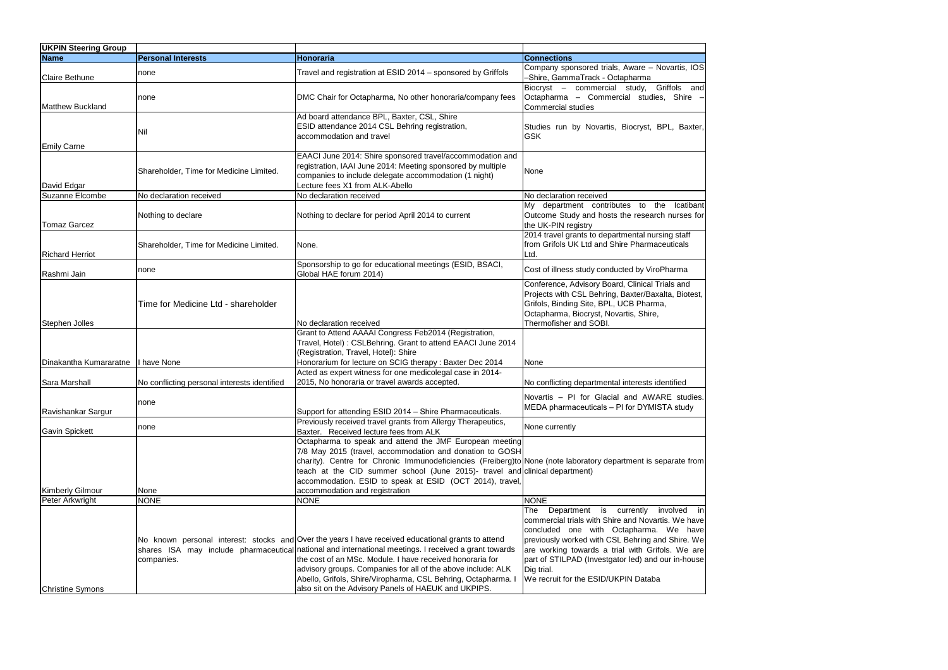| <b>UKPIN Steering Group</b>          |                                              |                                                                                                                                                                                                                                                                                                                                                                                                                                                                   |                                                                                                                                                                                                                                                                                                                                                                |
|--------------------------------------|----------------------------------------------|-------------------------------------------------------------------------------------------------------------------------------------------------------------------------------------------------------------------------------------------------------------------------------------------------------------------------------------------------------------------------------------------------------------------------------------------------------------------|----------------------------------------------------------------------------------------------------------------------------------------------------------------------------------------------------------------------------------------------------------------------------------------------------------------------------------------------------------------|
| <b>Name</b>                          | <b>Personal Interests</b>                    | Honoraria                                                                                                                                                                                                                                                                                                                                                                                                                                                         | <b>Connections</b>                                                                                                                                                                                                                                                                                                                                             |
| <b>Claire Bethune</b>                | none                                         | Travel and registration at ESID 2014 - sponsored by Griffols                                                                                                                                                                                                                                                                                                                                                                                                      | Company sponsored trials, Aware - Novartis, IOS<br>-Shire, GammaTrack - Octapharma                                                                                                                                                                                                                                                                             |
| <b>Matthew Buckland</b>              | none                                         | DMC Chair for Octapharma, No other honoraria/company fees                                                                                                                                                                                                                                                                                                                                                                                                         | Biocryst - commercial study, Griffols and<br>Octapharma - Commercial studies, Shire -<br>Commercial studies                                                                                                                                                                                                                                                    |
| <b>Emily Carne</b>                   | Nil                                          | Ad board attendance BPL, Baxter, CSL, Shire<br>ESID attendance 2014 CSL Behring registration,<br>accommodation and travel                                                                                                                                                                                                                                                                                                                                         | Studies run by Novartis, Biocryst, BPL, Baxter,<br><b>GSK</b>                                                                                                                                                                                                                                                                                                  |
| David Edgar                          | Shareholder, Time for Medicine Limited.      | EAACI June 2014: Shire sponsored travel/accommodation and<br>registration, IAAI June 2014: Meeting sponsored by multiple<br>companies to include delegate accommodation (1 night)<br>Lecture fees X1 from ALK-Abello                                                                                                                                                                                                                                              | None                                                                                                                                                                                                                                                                                                                                                           |
| Suzanne Elcombe                      | No declaration received                      | No declaration received                                                                                                                                                                                                                                                                                                                                                                                                                                           | No declaration received                                                                                                                                                                                                                                                                                                                                        |
| <b>Tomaz Garcez</b>                  | Nothing to declare                           | Nothing to declare for period April 2014 to current                                                                                                                                                                                                                                                                                                                                                                                                               | My department contributes to the Icatibant<br>Outcome Study and hosts the research nurses for<br>the UK-PIN registry                                                                                                                                                                                                                                           |
| <b>Richard Herriot</b>               | Shareholder, Time for Medicine Limited.      | None.                                                                                                                                                                                                                                                                                                                                                                                                                                                             | 2014 travel grants to departmental nursing staff<br>from Grifols UK Ltd and Shire Pharmaceuticals<br>Ltd.                                                                                                                                                                                                                                                      |
| Rashmi Jain                          | none                                         | Sponsorship to go for educational meetings (ESID, BSACI,<br>Global HAE forum 2014)                                                                                                                                                                                                                                                                                                                                                                                | Cost of illness study conducted by ViroPharma                                                                                                                                                                                                                                                                                                                  |
| Stephen Jolles                       | Time for Medicine Ltd - shareholder          | No declaration received                                                                                                                                                                                                                                                                                                                                                                                                                                           | Conference, Advisory Board, Clinical Trials and<br>Projects with CSL Behring, Baxter/Baxalta, Biotest,<br>Grifols, Binding Site, BPL, UCB Pharma,<br>Octapharma, Biocryst, Novartis, Shire,<br>Thermofisher and SOBI.                                                                                                                                          |
| Dinakantha Kumararatne   I have None |                                              | Grant to Attend AAAAI Congress Feb2014 (Registration,<br>Travel, Hotel): CSLBehring. Grant to attend EAACI June 2014<br>(Registration, Travel, Hotel): Shire<br>Honorarium for lecture on SCIG therapy : Baxter Dec 2014                                                                                                                                                                                                                                          | None                                                                                                                                                                                                                                                                                                                                                           |
| Sara Marshall                        | No conflicting personal interests identified | Acted as expert witness for one medicolegal case in 2014-<br>2015, No honoraria or travel awards accepted.                                                                                                                                                                                                                                                                                                                                                        | No conflicting departmental interests identified                                                                                                                                                                                                                                                                                                               |
| Ravishankar Sargur                   | Inone                                        | Support for attending ESID 2014 - Shire Pharmaceuticals.                                                                                                                                                                                                                                                                                                                                                                                                          | Novartis - PI for Glacial and AWARE studies.<br>MEDA pharmaceuticals - PI for DYMISTA study                                                                                                                                                                                                                                                                    |
| <b>Gavin Spickett</b>                | none                                         | Previously received travel grants from Allergy Therapeutics,<br>Baxter. Received lecture fees from ALK                                                                                                                                                                                                                                                                                                                                                            | None currently                                                                                                                                                                                                                                                                                                                                                 |
| <b>Kimberly Gilmour</b>              | None                                         | Octapharma to speak and attend the JMF European meeting<br>7/8 May 2015 (travel, accommodation and donation to GOSH<br>charity). Centre for Chronic Immunodeficiencies (Freiberg)to None (note laboratory department is separate from<br>teach at the CID summer school (June 2015)- travel and clinical department)<br>accommodation. ESID to speak at ESID (OCT 2014), travel,<br>accommodation and registration                                                |                                                                                                                                                                                                                                                                                                                                                                |
| Peter Arkwright                      | <b>NONE</b>                                  | <b>NONE</b>                                                                                                                                                                                                                                                                                                                                                                                                                                                       | <b>NONE</b>                                                                                                                                                                                                                                                                                                                                                    |
| <b>Christine Symons</b>              | companies.                                   | No known personal interest: stocks and Over the years I have received educational grants to attend<br>shares ISA may include pharmaceutical national and international meetings. I received a grant towards<br>the cost of an MSc. Module. I have received honoraria for<br>advisory groups. Companies for all of the above include: ALK<br>Abello, Grifols, Shire/Viropharma, CSL Behring, Octapharma. I<br>also sit on the Advisory Panels of HAEUK and UKPIPS. | Department is currently involved in<br>The<br>commercial trials with Shire and Novartis. We have<br>concluded one with Octapharma. We have<br>previously worked with CSL Behring and Shire. We<br>are working towards a trial with Grifols. We are<br>part of STILPAD (Investgator led) and our in-house<br>Dig trial.<br>We recruit for the ESID/UKPIN Databa |